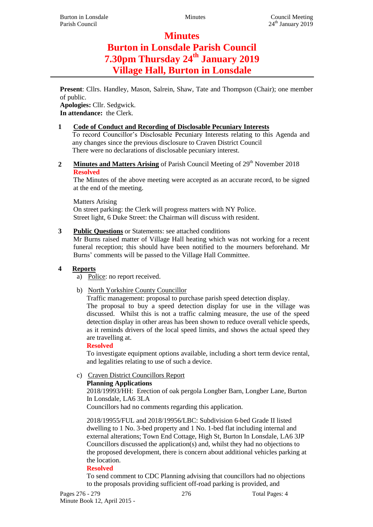# **Minutes**

# **Burton in Lonsdale Parish Council 7.30pm Thursday 24th January 2019 Village Hall, Burton in Lonsdale**

**Present**: Cllrs. Handley, Mason, Salrein, Shaw, Tate and Thompson (Chair); one member of public.

**Apologies:** Cllr. Sedgwick. **In attendance:** the Clerk.

# **1 Code of Conduct and Recording of Disclosable Pecuniary Interests**

To record Councillor's Disclosable Pecuniary Interests relating to this Agenda and any changes since the previous disclosure to Craven District Council There were no declarations of disclosable pecuniary interest.

2 **Minutes and Matters Arising** of Parish Council Meeting of 29<sup>th</sup> November 2018 **Resolved**

The Minutes of the above meeting were accepted as an accurate record, to be signed at the end of the meeting.

Matters Arising On street parking: the Clerk will progress matters with NY Police. Street light, 6 Duke Street: the Chairman will discuss with resident.

# **3 Public Questions** or Statements: see attached conditions

Mr Burns raised matter of Village Hall heating which was not working for a recent funeral reception; this should have been notified to the mourners beforehand. Mr Burns' comments will be passed to the Village Hall Committee.

# **4 Reports**

- a) Police: no report received.
- b) North Yorkshire County Councillor

Traffic management: proposal to purchase parish speed detection display.

The proposal to buy a speed detection display for use in the village was discussed. Whilst this is not a traffic calming measure, the use of the speed detection display in other areas has been shown to reduce overall vehicle speeds, as it reminds drivers of the local speed limits, and shows the actual speed they are travelling at.

# **Resolved**

To investigate equipment options available, including a short term device rental, and legalities relating to use of such a device.

c) Craven District Councillors Report

# **Planning Applications**

2018/19993/HH: Erection of oak pergola Longber Barn, Longber Lane, Burton In Lonsdale, LA6 3LA

Councillors had no comments regarding this application.

2018/19955/FUL and 2018/19956/LBC: Subdivision 6-bed Grade II listed dwelling to 1 No. 3-bed property and 1 No. 1-bed flat including internal and external alterations; Town End Cottage, High St, Burton In Lonsdale, LA6 3JP Councillors discussed the application(s) and, whilst they had no objections to the proposed development, there is concern about additional vehicles parking at the location.

# **Resolved**

To send comment to CDC Planning advising that councillors had no objections to the proposals providing sufficient off-road parking is provided, and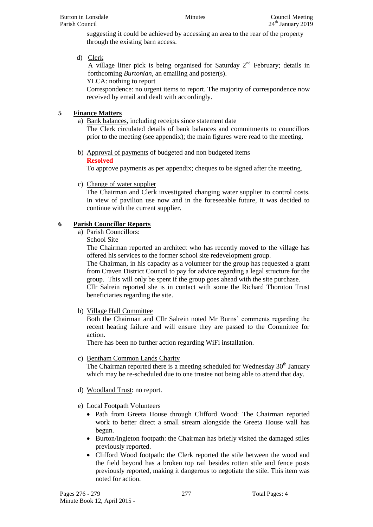suggesting it could be achieved by accessing an area to the rear of the property through the existing barn access.

d) Clerk

A village litter pick is being organised for Saturday  $2<sup>nd</sup>$  February; details in forthcoming *Burtonian*, an emailing and poster(s).

YLCA: nothing to report

Correspondence: no urgent items to report. The majority of correspondence now received by email and dealt with accordingly.

# **5 Finance Matters**

a) Bank balances, including receipts since statement date The Clerk circulated details of bank balances and commitments to councillors prior to the meeting (see appendix); the main figures were read to the meeting.

b) Approval of payments of budgeted and non budgeted items **Resolved**

To approve payments as per appendix; cheques to be signed after the meeting.

c) Change of water supplier

The Chairman and Clerk investigated changing water supplier to control costs. In view of pavilion use now and in the foreseeable future, it was decided to continue with the current supplier.

# **6 Parish Councillor Reports**

- a) Parish Councillors:
	- School Site

The Chairman reported an architect who has recently moved to the village has offered his services to the former school site redevelopment group.

The Chairman, in his capacity as a volunteer for the group has requested a grant from Craven District Council to pay for advice regarding a legal structure for the group. This will only be spent if the group goes ahead with the site purchase.

Cllr Salrein reported she is in contact with some the Richard Thornton Trust beneficiaries regarding the site.

b) Village Hall Committee

Both the Chairman and Cllr Salrein noted Mr Burns' comments regarding the recent heating failure and will ensure they are passed to the Committee for action.

There has been no further action regarding WiFi installation.

# c) Bentham Common Lands Charity

The Chairman reported there is a meeting scheduled for Wednesday  $30<sup>th</sup>$  January which may be re-scheduled due to one trustee not being able to attend that day.

- d) Woodland Trust: no report.
- e) Local Footpath Volunteers
	- Path from Greeta House through Clifford Wood: The Chairman reported work to better direct a small stream alongside the Greeta House wall has begun.
	- Burton/Ingleton footpath: the Chairman has briefly visited the damaged stiles previously reported.
	- Clifford Wood footpath: the Clerk reported the stile between the wood and the field beyond has a broken top rail besides rotten stile and fence posts previously reported, making it dangerous to negotiate the stile. This item was noted for action.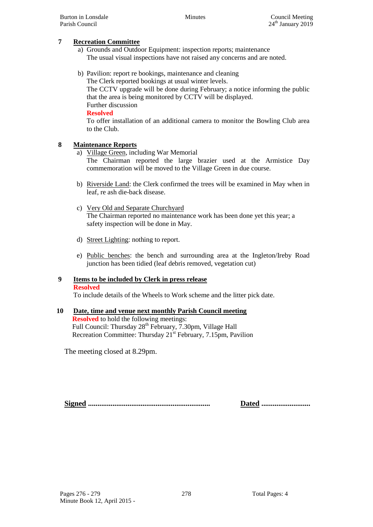#### **7 Recreation Committee**

- a) Grounds and Outdoor Equipment: inspection reports; maintenance The usual visual inspections have not raised any concerns and are noted.
- b) Pavilion: report re bookings, maintenance and cleaning The Clerk reported bookings at usual winter levels. The CCTV upgrade will be done during February; a notice informing the public that the area is being monitored by CCTV will be displayed. Further discussion **Resolved** To offer installation of an additional camera to monitor the Bowling Club area to the Club.

# **8 Maintenance Reports**

- a) Village Green, including War Memorial The Chairman reported the large brazier used at the Armistice Day commemoration will be moved to the Village Green in due course.
- b) Riverside Land: the Clerk confirmed the trees will be examined in May when in leaf, re ash die-back disease.
- c) Very Old and Separate Churchyard The Chairman reported no maintenance work has been done yet this year; a safety inspection will be done in May.
- d) Street Lighting: nothing to report.
- e) Public benches: the bench and surrounding area at the Ingleton/Ireby Road junction has been tidied (leaf debris removed, vegetation cut)

#### **9 Items to be included by Clerk in press release Resolved**

To include details of the Wheels to Work scheme and the litter pick date.

# **10 Date, time and venue next monthly Parish Council meeting**

**Resolved** to hold the following meetings: Full Council: Thursday 28<sup>th</sup> February, 7.30pm, Village Hall Recreation Committee: Thursday 21<sup>st</sup> February, 7.15pm, Pavilion

The meeting closed at 8.29pm.

**Signed ................................................................. Dated ..........................**

Pages 276 - 279 278 Total Pages: 4 Minute Book 12, April 2015 -